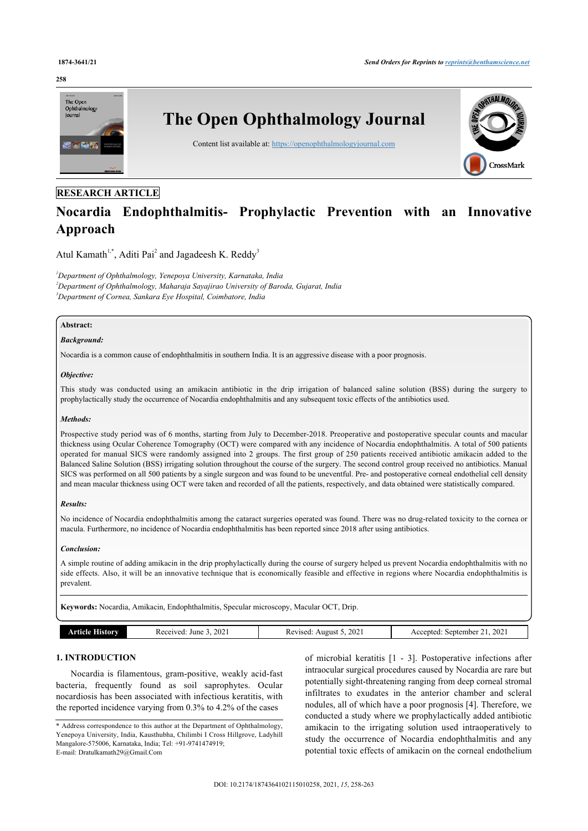#### **258**



# **RESEARCH ARTICLE**

# **Nocardia Endophthalmitis- Prophylactic Prevention with an Innovative Approach**

Atul Kamath<sup>[1](#page-0-0),[\\*](#page-0-1)</sup>, Aditi Pai<sup>[2](#page-0-2)</sup> and Jagadeesh K. Reddy<sup>[3](#page-0-3)</sup>

<span id="page-0-3"></span><span id="page-0-2"></span><span id="page-0-0"></span>*<sup>1</sup>Department of Ophthalmology, Yenepoya University, Karnataka, India <sup>2</sup>Department of Ophthalmology, Maharaja Sayajirao University of Baroda, Gujarat, India <sup>3</sup>Department of Cornea, Sankara Eye Hospital, Coimbatore, India*

# **Abstract:**

#### *Background:*

Nocardia is a common cause of endophthalmitis in southern India. It is an aggressive disease with a poor prognosis.

### *Objective:*

This study was conducted using an amikacin antibiotic in the drip irrigation of balanced saline solution (BSS) during the surgery to prophylactically study the occurrence of Nocardia endophthalmitis and any subsequent toxic effects of the antibiotics used.

#### *Methods:*

Prospective study period was of 6 months, starting from July to December-2018. Preoperative and postoperative specular counts and macular thickness using Ocular Coherence Tomography (OCT) were compared with any incidence of Nocardia endophthalmitis. A total of 500 patients operated for manual SICS were randomly assigned into 2 groups. The first group of 250 patients received antibiotic amikacin added to the Balanced Saline Solution (BSS) irrigating solution throughout the course of the surgery. The second control group received no antibiotics. Manual SICS was performed on all 500 patients by a single surgeon and was found to be uneventful. Pre- and postoperative corneal endothelial cell density and mean macular thickness using OCT were taken and recorded of all the patients, respectively, and data obtained were statistically compared.

#### *Results:*

No incidence of Nocardia endophthalmitis among the cataract surgeries operated was found. There was no drug-related toxicity to the cornea or macula. Furthermore, no incidence of Nocardia endophthalmitis has been reported since 2018 after using antibiotics.

#### *Conclusion:*

A simple routine of adding amikacin in the drip prophylactically during the course of surgery helped us prevent Nocardia endophthalmitis with no side effects. Also, it will be an innovative technique that is economically feasible and effective in regions where Nocardia endophthalmitis is prevalent.

**Keywords:** Nocardia, Amikacin, Endophthalmitis, Specular microscopy, Macular OCT, Drip.

| 202                  | 202.   | 202          |
|----------------------|--------|--------------|
| June                 | August | sentember    |
| .                    | /ised  | $\alpha$     |
| $^{\circ}$ iveq      | ີ      | $\Delta$ CC. |
|                      | n.     | $  -$        |
| $\sim$ $\sim$ $\sim$ | $-1$   |              |
| .                    | .      | .            |

# **1. INTRODUCTION**

Nocardia is filamentous, gram-positive, weakly acid-fast bacteria, frequently found as soil saprophytes. Ocular nocardiosis has been associated with infectious keratitis, with the reported incidence varying from 0.3% to 4.2% of the cases

of microbial keratitis[[1](#page-4-0) - [3](#page-4-1)]. Postoperative infections after intraocular surgical procedures caused by Nocardia are rare but potentially sight-threatening ranging from deep corneal stromal infiltrates to exudates in the anterior chamber and scleral nodules, all of which have a poor prognosis [[4](#page-4-2)]. Therefore, we conducted a study where we prophylactically added antibiotic amikacin to the irrigating solution used intraoperatively to study the occurrence of Nocardia endophthalmitis and any potential toxic effects of amikacin on the corneal endothelium

<span id="page-0-1"></span><sup>\*</sup> Address correspondence to this author at the Department of Ophthalmology, Yenepoya University, India, Kausthubha, Chilimbi I Cross Hillgrove, Ladyhill Mangalore-575006, Karnataka, India; Tel: +91-9741474919; E-mail: [Dratulkamath29@Gmail.Com](mailto:Dratulkamath29@Gmail.Com)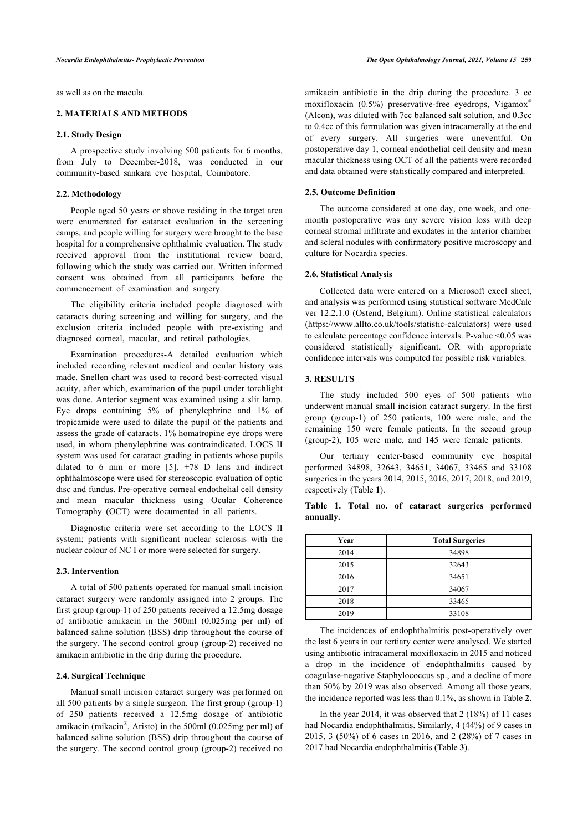as well as on the macula.

#### **2. MATERIALS AND METHODS**

#### **2.1. Study Design**

A prospective study involving 500 patients for 6 months, from July to December-2018, was conducted in our community-based sankara eye hospital, Coimbatore.

## **2.2. Methodology**

People aged 50 years or above residing in the target area were enumerated for cataract evaluation in the screening camps, and people willing for surgery were brought to the base hospital for a comprehensive ophthalmic evaluation. The study received approval from the institutional review board, following which the study was carried out. Written informed consent was obtained from all participants before the commencement of examination and surgery.

The eligibility criteria included people diagnosed with cataracts during screening and willing for surgery, and the exclusion criteria included people with pre-existing and diagnosed corneal, macular, and retinal pathologies.

Examination procedures-A detailed evaluation which included recording relevant medical and ocular history was made. Snellen chart was used to record best-corrected visual acuity, after which, examination of the pupil under torchlight was done. Anterior segment was examined using a slit lamp. Eye drops containing 5% of phenylephrine and 1% of tropicamide were used to dilate the pupil of the patients and assess the grade of cataracts. 1% homatropine eye drops were used, in whom phenylephrine was contraindicated. LOCS II system was used for cataract grading in patients whose pupils dilated to 6 mm or more[[5\]](#page-4-3). +78 D lens and indirect ophthalmoscope were used for stereoscopic evaluation of optic disc and fundus. Pre-operative corneal endothelial cell density and mean macular thickness using Ocular Coherence Tomography (OCT) were documented in all patients.

<span id="page-1-0"></span>Diagnostic criteria were set according to the LOCS II system; patients with significant nuclear sclerosis with the nuclear colour of NC I or more were selected for surgery.

### **2.3. Intervention**

A total of 500 patients operated for manual small incision cataract surgery were randomly assigned into 2 groups. The first group (group-1) of 250 patients received a 12.5mg dosage of antibiotic amikacin in the 500ml (0.025mg per ml) of balanced saline solution (BSS) drip throughout the course of the surgery. The second control group (group-2) received no amikacin antibiotic in the drip during the procedure.

# **2.4. Surgical Technique**

<span id="page-1-1"></span>Manual small incision cataract surgery was performed on all 500 patients by a single surgeon. The first group (group-1) of 250 patients received a 12.5mg dosage of antibiotic amikacin (mikacin® , Aristo) in the 500ml (0.025mg per ml) of balanced saline solution (BSS) drip throughout the course of the surgery. The second control group (group-2) received no

amikacin antibiotic in the drip during the procedure. 3 cc moxifloxacin  $(0.5\%)$  preservative-free eyedrops, Vigamox<sup>®</sup> (Alcon), was diluted with 7cc balanced salt solution, and 0.3cc to 0.4cc of this formulation was given intracamerally at the end of every surgery. All surgeries were uneventful. On postoperative day 1, corneal endothelial cell density and mean macular thickness using OCT of all the patients were recorded and data obtained were statistically compared and interpreted.

#### **2.5. Outcome Definition**

The outcome considered at one day, one week, and onemonth postoperative was any severe vision loss with deep corneal stromal infiltrate and exudates in the anterior chamber and scleral nodules with confirmatory positive microscopy and culture for Nocardia species.

#### **2.6. Statistical Analysis**

Collected data were entered on a Microsoft excel sheet, and analysis was performed using statistical software MedCalc ver 12.2.1.0 (Ostend, Belgium). Online statistical calculators (<https://www.allto.co.uk/tools/statistic-calculators>) were used to calculate percentage confidence intervals. P-value <0.05 was considered statistically significant. OR with appropriate confidence intervals was computed for possible risk variables.

#### **3. RESULTS**

The study included 500 eyes of 500 patients who underwent manual small incision cataract surgery. In the first group (group-1) of 250 patients, 100 were male, and the remaining 150 were female patients. In the second group (group-2), 105 were male, and 145 were female patients.

Our tertiary center-based community eye hospital performed 34898, 32643, 34651, 34067, 33465 and 33108 surgeries in the years 2014, 2015, 2016, 2017, 2018, and 2019, respectively (Table **[1](#page-1-0)**).

**Table 1. Total no. of cataract surgeries performed annually.**

| Year | <b>Total Surgeries</b> |
|------|------------------------|
| 2014 | 34898                  |
| 2015 | 32643                  |
| 2016 | 34651                  |
| 2017 | 34067                  |
| 2018 | 33465                  |
| 2019 | 33108                  |

The incidences of endophthalmitis post-operatively over the last 6 years in our tertiary center were analysed. We started using antibiotic intracameral moxifloxacin in 2015 and noticed a drop in the incidence of endophthalmitis caused by coagulase-negative Staphylococcus sp., and a decline of more than 50% by 2019 was also observed. Among all those years, the incidence reported was less than 0.1%, as shown in Table **[2](#page-1-1)**.

In the year 2014, it was observed that 2 (18%) of 11 cases had Nocardia endophthalmitis. Similarly, 4 (44%) of 9 cases in 2015, 3 (50%) of 6 cases in 2016, and 2 (28%) of 7 cases in 2017 had Nocardia endophthalmitis (Table **[3](#page-2-0)**).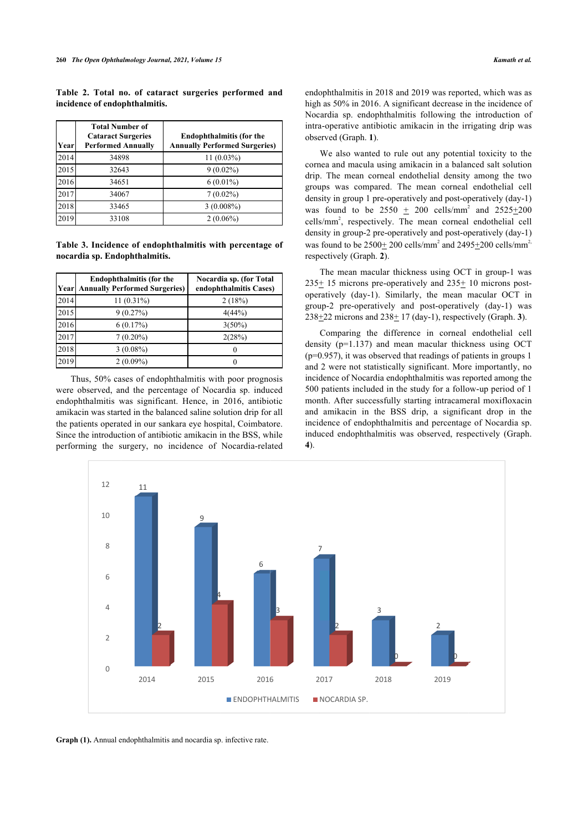**Table 2. Total no. of cataract surgeries performed and incidence of endophthalmitis.**

| Year | <b>Total Number of</b><br><b>Cataract Surgeries</b><br><b>Performed Annually</b> | <b>Endophthalmitis (for the</b><br><b>Annually Performed Surgeries)</b> |
|------|----------------------------------------------------------------------------------|-------------------------------------------------------------------------|
| 2014 | 34898                                                                            | 11 (0.03%)                                                              |
| 2015 | 32643                                                                            | $9(0.02\%)$                                                             |
| 2016 | 34651                                                                            | $6(0.01\%)$                                                             |
| 2017 | 34067                                                                            | $7(0.02\%)$                                                             |
| 2018 | 33465                                                                            | $3(0.008\%)$                                                            |
| 2019 | 33108                                                                            | $2(0.06\%)$                                                             |

<span id="page-2-0"></span>**Table 3. Incidence of endophthalmitis with percentage of nocardia sp. Endophthalmitis.**

|      | <b>Endophthalmitis (for the</b><br>[Year] Annually Performed Surgeries] | Nocardia sp. (for Total<br>endophthalmitis Cases) |
|------|-------------------------------------------------------------------------|---------------------------------------------------|
| 2014 | 11 (0.31%)                                                              | 2(18%)                                            |
| 2015 | 9(0.27%)                                                                | 4(44%)                                            |
| 2016 | 6(0.17%)                                                                | $3(50\%)$                                         |
| 2017 | $7(0.20\%)$                                                             | 2(28%)                                            |
| 2018 | $3(0.08\%)$                                                             |                                                   |
| 2019 | $2(0.09\%)$                                                             |                                                   |

Thus, 50% cases of endophthalmitis with poor prognosis were observed, and the percentage of Nocardia sp. induced endophthalmitis was significant. Hence, in 2016, antibiotic amikacin was started in the balanced saline solution drip for all the patients operated in our sankara eye hospital, Coimbatore. Since the introduction of antibiotic amikacin in the BSS, while performing the surgery, no incidence of Nocardia-related endophthalmitis in 2018 and 2019 was reported, which was as high as 50% in 2016. A significant decrease in the incidence of Nocardia sp. endophthalmitis following the introduction of intra-operative antibiotic amikacin in the irrigating drip was observed (Graph. **[1](#page-2-1)**).

We also wanted to rule out any potential toxicity to the cornea and macula using amikacin in a balanced salt solution drip. The mean corneal endothelial density among the two groups was compared. The mean corneal endothelial cell density in group 1 pre-operatively and post-operatively (day-1) was found to be  $2550 \pm 200$  cells/mm<sup>2</sup> and  $2525\pm 200$ cells/mm<sup>2</sup>, respectively. The mean corneal endothelial cell density in group-2 pre-operatively and post-operatively (day-1) was found to be  $2500 \pm 200$  cells/mm<sup>2</sup> and  $2495 \pm 200$  cells/mm<sup>2</sup> respectively (Graph. **[2](#page-3-0)**).

The mean macular thickness using OCT in group-1 was  $235\pm 15$  microns pre-operatively and  $235\pm 10$  microns postoperatively (day-1). Similarly, the mean macular OCT in group-2 pre-operatively and post-operatively (day-1) was  $238\pm22$  $238\pm22$  $238\pm22$  microns and  $238\pm17$  (day-1), respectively (Graph. **3**).

Comparing the difference in corneal endothelial cell density (p=1.137) and mean macular thickness using OCT (p=0.957), it was observed that readings of patients in groups 1 and 2 were not statistically significant. More importantly, no incidence of Nocardia endophthalmitis was reported among the 500 patients included in the study for a follow-up period of 1 month. After successfully starting intracameral moxifloxacin and amikacin in the BSS drip, a significant drop in the incidence of endophthalmitis and percentage of Nocardia sp. induced endophthalmitis was observed, respectively (Graph. **[4](#page-3-2)**).

<span id="page-2-1"></span>

**Graph (1).** Annual endophthalmitis and nocardia sp. infective rate.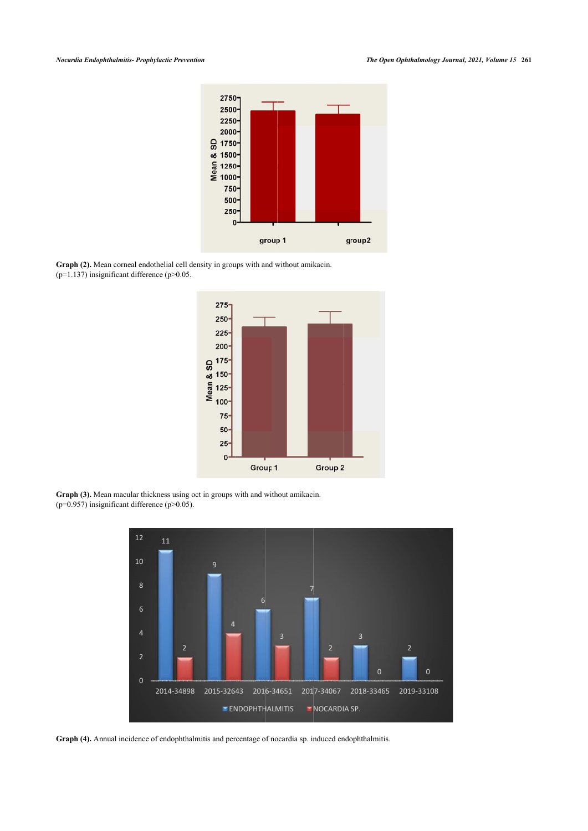

<span id="page-3-1"></span><span id="page-3-0"></span>**Graph (2).** Mean corneal endothelial cell density in groups with and without amikacin.  $(p=1.137)$  insignificant difference  $(p>0.05$ .



<span id="page-3-2"></span>**Graph (3).** Mean macular thickness using oct in groups with and without amikacin. ( $p=0.957$ ) insignificant difference ( $p>0.05$ ).



**Graph (4).** Annual incidence of endophthalmitis and percentage of nocardia sp. induced endophthalmitis.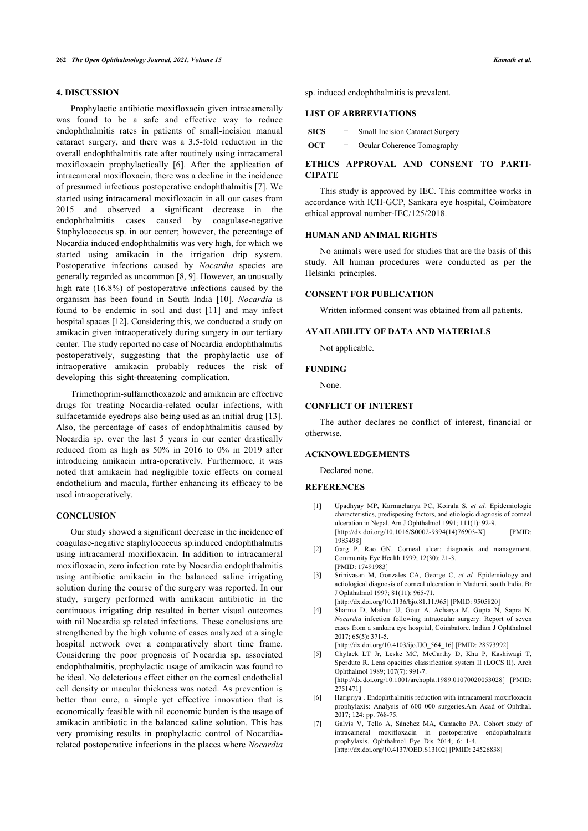# **4. DISCUSSION**

Prophylactic antibiotic moxifloxacin given intracamerally was found to be a safe and effective way to reduce endophthalmitis rates in patients of small-incision manual cataract surgery, and there was a 3.5-fold reduction in the overall endophthalmitis rate after routinely using intracameral moxifloxacin prophylactically [\[6\]](#page-4-4). After the application of intracameral moxifloxacin, there was a decline in the incidence of presumed infectious postoperative endophthalmitis [[7\]](#page-4-5). We started using intracameral moxifloxacin in all our cases from 2015 and observed a significant decrease in the endophthalmitis cases caused by coagulase-negative Staphylococcus sp. in our center; however, the percentage of Nocardia induced endophthalmitis was very high, for which we started using amikacin in the irrigation drip system. Postoperative infections caused by *Nocardia* species are generally regarded as uncommon [[8](#page-5-0), [9](#page-5-1)]. However, an unusually high rate (16.8%) of postoperative infections caused by the organism has been found in South India [\[10\]](#page-5-2). *Nocardia* is found to be endemic in soil and dust [\[11\]](#page-5-3) and may infect hospital spaces [\[12](#page-5-4)]. Considering this, we conducted a study on amikacin given intraoperatively during surgery in our tertiary center. The study reported no case of Nocardia endophthalmitis postoperatively, suggesting that the prophylactic use of intraoperative amikacin probably reduces the risk of developing this sight-threatening complication.

Trimethoprim-sulfamethoxazole and amikacin are effective drugs for treating Nocardia-related ocular infections, with sulfacetamide eyedrops also being used as an initial drug [[13\]](#page-5-5). Also, the percentage of cases of endophthalmitis caused by Nocardia sp. over the last 5 years in our center drastically reduced from as high as 50% in 2016 to 0% in 2019 after introducing amikacin intra-operatively. Furthermore, it was noted that amikacin had negligible toxic effects on corneal endothelium and macula, further enhancing its efficacy to be used intraoperatively.

#### <span id="page-4-0"></span>**CONCLUSION**

<span id="page-4-5"></span><span id="page-4-4"></span><span id="page-4-3"></span><span id="page-4-2"></span><span id="page-4-1"></span>Our study showed a significant decrease in the incidence of coagulase-negative staphylococcus sp.induced endophthalmitis using intracameral moxifloxacin. In addition to intracameral moxifloxacin, zero infection rate by Nocardia endophthalmitis using antibiotic amikacin in the balanced saline irrigating solution during the course of the surgery was reported. In our study, surgery performed with amikacin antibiotic in the continuous irrigating drip resulted in better visual outcomes with nil Nocardia sp related infections. These conclusions are strengthened by the high volume of cases analyzed at a single hospital network over a comparatively short time frame. Considering the poor prognosis of Nocardia sp. associated endophthalmitis, prophylactic usage of amikacin was found to be ideal. No deleterious effect either on the corneal endothelial cell density or macular thickness was noted. As prevention is better than cure, a simple yet effective innovation that is economically feasible with nil economic burden is the usage of amikacin antibiotic in the balanced saline solution. This has very promising results in prophylactic control of Nocardiarelated postoperative infections in the places where *Nocardia*

sp. induced endophthalmitis is prevalent.

#### **LIST OF ABBREVIATIONS**

| SICS | $=$ | <b>Small Incision Cataract Surgery</b> |
|------|-----|----------------------------------------|
| OCT  | $=$ | Ocular Coherence Tomography            |

# **ETHICS APPROVAL AND CONSENT TO PARTI-CIPATE**

This study is approved by IEC. This committee works in accordance with ICH-GCP, Sankara eye hospital, Coimbatore ethical approval number-IEC/125/2018.

#### **HUMAN AND ANIMAL RIGHTS**

No animals were used for studies that are the basis of this study. All human procedures were conducted as per the Helsinki principles.

### **CONSENT FOR PUBLICATION**

Written informed consent was obtained from all patients.

# **AVAILABILITY OF DATA AND MATERIALS**

Not applicable.

#### **FUNDING**

None.

#### **CONFLICT OF INTEREST**

The author declares no conflict of interest, financial or otherwise.

### **ACKNOWLEDGEMENTS**

Declared none.

#### **REFERENCES**

- [1] Upadhyay MP, Karmacharya PC, Koirala S, *et al.* Epidemiologic characteristics, predisposing factors, and etiologic diagnosis of corneal ulceration in Nepal. Am J Ophthalmol 1991; 111(1): 92-9. [\[http://dx.doi.org/10.1016/S0002-9394\(14\)76903-X](http://dx.doi.org/10.1016/S0002-9394(14)76903-X)] [PMID: [1985498](http://www.ncbi.nlm.nih.gov/pubmed/1985498)]
- [2] Garg P, Rao GN. Corneal ulcer: diagnosis and management. Community Eye Health 1999; 12(30): 21-3. [PMID: [17491983\]](http://www.ncbi.nlm.nih.gov/pubmed/17491983)
- [3] Srinivasan M, Gonzales CA, George C, *et al.* Epidemiology and aetiological diagnosis of corneal ulceration in Madurai, south India. Br J Ophthalmol 1997; 81(11): 965-71.
	- [\[http://dx.doi.org/10.1136/bjo.81.11.965](http://dx.doi.org/10.1136/bjo.81.11.965)] [PMID: [9505820](http://www.ncbi.nlm.nih.gov/pubmed/9505820)]
- [4] Sharma D, Mathur U, Gour A, Acharya M, Gupta N, Sapra N. *Nocardia* infection following intraocular surgery: Report of seven cases from a sankara eye hospital, Coimbatore. Indian J Ophthalmol 2017; 65(5): 371-5.
- [\[http://dx.doi.org/10.4103/ijo.IJO\\_564\\_16](http://dx.doi.org/10.4103/ijo.IJO_564_16)] [PMID: [28573992\]](http://www.ncbi.nlm.nih.gov/pubmed/28573992)
- [5] Chylack LT Jr, Leske MC, McCarthy D, Khu P, Kashiwagi T, Sperduto R. Lens opacities classification system II (LOCS II). Arch Ophthalmol 1989; 107(7): 991-7. [\[http://dx.doi.org/10.1001/archopht.1989.01070020053028\]](http://dx.doi.org/10.1001/archopht.1989.01070020053028) [PMID: [2751471](http://www.ncbi.nlm.nih.gov/pubmed/2751471)]
- [6] Haripriya . Endophthalmitis reduction with intracameral moxifloxacin prophylaxis: Analysis of 600 000 surgeries.Am Acad of Ophthal. 2017; 124: pp. 768-75.
- [7] Galvis V, Tello A, Sánchez MA, Camacho PA. Cohort study of intracameral moxifloxacin in postoperative endophthalmitis prophylaxis. Ophthalmol Eye Dis 2014; 6: 1-4. [\[http://dx.doi.org/10.4137/OED.S13102\]](http://dx.doi.org/10.4137/OED.S13102) [PMID: [24526838\]](http://www.ncbi.nlm.nih.gov/pubmed/24526838)